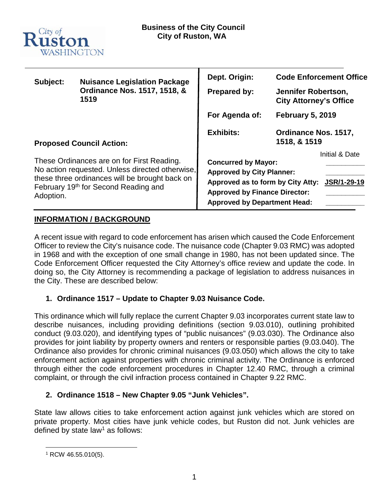

| Subject:                                                                                                                                                                                             | <b>Nuisance Legislation Package</b><br>Ordinance Nos. 1517, 1518, &<br>1519 | Dept. Origin:<br><b>Prepared by:</b>                                                                                                                                               | <b>Code Enforcement Office</b><br>Jennifer Robertson,<br><b>City Attorney's Office</b> |
|------------------------------------------------------------------------------------------------------------------------------------------------------------------------------------------------------|-----------------------------------------------------------------------------|------------------------------------------------------------------------------------------------------------------------------------------------------------------------------------|----------------------------------------------------------------------------------------|
|                                                                                                                                                                                                      |                                                                             | For Agenda of:                                                                                                                                                                     | <b>February 5, 2019</b>                                                                |
| <b>Proposed Council Action:</b>                                                                                                                                                                      |                                                                             | <b>Exhibits:</b>                                                                                                                                                                   | Ordinance Nos. 1517,<br>1518, & 1519                                                   |
| These Ordinances are on for First Reading.<br>No action requested. Unless directed otherwise,<br>these three ordinances will be brought back on<br>February 19th for Second Reading and<br>Adoption. |                                                                             | <b>Concurred by Mayor:</b><br><b>Approved by City Planner:</b><br>Approved as to form by City Atty:<br><b>Approved by Finance Director:</b><br><b>Approved by Department Head:</b> | Initial & Date<br>JSR/1-29-19                                                          |

# **INFORMATION / BACKGROUND**

A recent issue with regard to code enforcement has arisen which caused the Code Enforcement Officer to review the City's nuisance code. The nuisance code (Chapter 9.03 RMC) was adopted in 1968 and with the exception of one small change in 1980, has not been updated since. The Code Enforcement Officer requested the City Attorney's office review and update the code. In doing so, the City Attorney is recommending a package of legislation to address nuisances in the City. These are described below:

# **1. Ordinance 1517 – Update to Chapter 9.03 Nuisance Code.**

This ordinance which will fully replace the current Chapter 9.03 incorporates current state law to describe nuisances, including providing definitions (section 9.03.010), outlining prohibited conduct (9.03.020), and identifying types of "public nuisances" (9.03.030). The Ordinance also provides for joint liability by property owners and renters or responsible parties (9.03.040). The Ordinance also provides for chronic criminal nuisances (9.03.050) which allows the city to take enforcement action against properties with chronic criminal activity. The Ordinance is enforced through either the code enforcement procedures in Chapter 12.40 RMC, through a criminal complaint, or through the civil infraction process contained in Chapter 9.22 RMC.

# **2. Ordinance 1518 – New Chapter 9.05 "Junk Vehicles".**

State law allows cities to take enforcement action against junk vehicles which are stored on private property. Most cities have junk vehicle codes, but Ruston did not. Junk vehicles are defined by state law<sup>[1](#page-0-0)</sup> as follows:

<span id="page-0-0"></span> <sup>1</sup> RCW 46.55.010(5).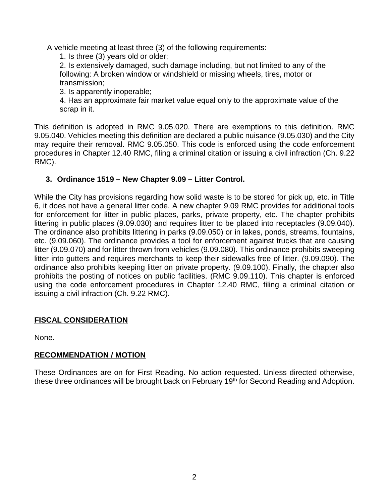A vehicle meeting at least three (3) of the following requirements:

1. Is three (3) years old or older;

2. Is extensively damaged, such damage including, but not limited to any of the following: A broken window or windshield or missing wheels, tires, motor or transmission;

3. Is apparently inoperable;

4. Has an approximate fair market value equal only to the approximate value of the scrap in it.

This definition is adopted in RMC 9.05.020. There are exemptions to this definition. RMC 9.05.040. Vehicles meeting this definition are declared a public nuisance (9.05.030) and the City may require their removal. RMC 9.05.050. This code is enforced using the code enforcement procedures in Chapter 12.40 RMC, filing a criminal citation or issuing a civil infraction (Ch. 9.22 RMC).

# **3. Ordinance 1519 – New Chapter 9.09 – Litter Control.**

While the City has provisions regarding how solid waste is to be stored for pick up, etc. in Title 6, it does not have a general litter code. A new chapter 9.09 RMC provides for additional tools for enforcement for litter in public places, parks, private property, etc. The chapter prohibits littering in public places (9.09.030) and requires litter to be placed into receptacles (9.09.040). The ordinance also prohibits littering in parks (9.09.050) or in lakes, ponds, streams, fountains, etc. (9.09.060). The ordinance provides a tool for enforcement against trucks that are causing litter (9.09.070) and for litter thrown from vehicles (9.09.080). This ordinance prohibits sweeping litter into gutters and requires merchants to keep their sidewalks free of litter. (9.09.090). The ordinance also prohibits keeping litter on private property. (9.09.100). Finally, the chapter also prohibits the posting of notices on public facilities. (RMC 9.09.110). This chapter is enforced using the code enforcement procedures in Chapter 12.40 RMC, filing a criminal citation or issuing a civil infraction (Ch. 9.22 RMC).

# **FISCAL CONSIDERATION**

None.

# **RECOMMENDATION / MOTION**

These Ordinances are on for First Reading. No action requested. Unless directed otherwise, these three ordinances will be brought back on February 19<sup>th</sup> for Second Reading and Adoption.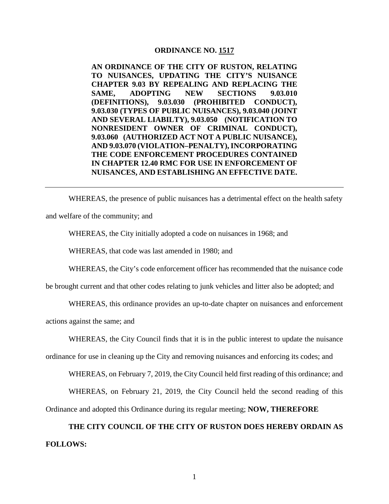#### **ORDINANCE NO. 1517**

**AN ORDINANCE OF THE CITY OF RUSTON, RELATING TO NUISANCES, UPDATING THE CITY'S NUISANCE CHAPTER 9.03 BY REPEALING AND REPLACING THE SAME, ADOPTING NEW SECTIONS 9.03.010 (DEFINITIONS), 9.03.030 (PROHIBITED CONDUCT), 9.03.030 (TYPES OF PUBLIC NUISANCES), 9.03.040 (JOINT AND SEVERAL LIABILTY), 9.03.050 (NOTIFICATION TO NONRESIDENT OWNER OF CRIMINAL CONDUCT), 9.03.060 (AUTHORIZED ACT NOT A PUBLIC NUISANCE), AND 9.03.070 (VIOLATION–PENALTY), INCORPORATING THE CODE ENFORCEMENT PROCEDURES CONTAINED IN CHAPTER 12.40 RMC FOR USE IN ENFORCEMENT OF NUISANCES, AND ESTABLISHING AN EFFECTIVE DATE.** 

WHEREAS, the presence of public nuisances has a detrimental effect on the health safety and welfare of the community; and

WHEREAS, the City initially adopted a code on nuisances in 1968; and

WHEREAS, that code was last amended in 1980; and

WHEREAS, the City's code enforcement officer has recommended that the nuisance code

be brought current and that other codes relating to junk vehicles and litter also be adopted; and

WHEREAS, this ordinance provides an up-to-date chapter on nuisances and enforcement

actions against the same; and

WHEREAS, the City Council finds that it is in the public interest to update the nuisance

ordinance for use in cleaning up the City and removing nuisances and enforcing its codes; and

WHEREAS, on February 7, 2019, the City Council held first reading of this ordinance; and

WHEREAS, on February 21, 2019, the City Council held the second reading of this

Ordinance and adopted this Ordinance during its regular meeting; **NOW, THEREFORE**

**THE CITY COUNCIL OF THE CITY OF RUSTON DOES HEREBY ORDAIN AS FOLLOWS:** 

1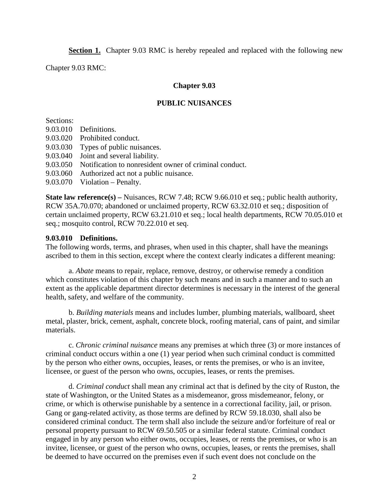**Section 1.** Chapter 9.03 RMC is hereby repealed and replaced with the following new

Chapter 9.03 RMC:

#### **Chapter 9.03**

#### **PUBLIC NUISANCES**

Sections:

- 9.03.010 Definitions.
- 9.03.020 Prohibited conduct.
- 9.03.030 Types of public nuisances.
- 9.03.040 Joint and several liability.
- 9.03.050 Notification to nonresident owner of criminal conduct.
- 9.03.060 Authorized act not a public nuisance.
- 9.03.070 Violation Penalty.

**State law reference(s)** – Nuisances, RCW 7.48; RCW 9.66.010 et seq.; public health authority, RCW 35A.70.070; abandoned or unclaimed property, RCW 63.32.010 et seq.; disposition of certain unclaimed property, RCW 63.21.010 et seq.; local health departments, RCW 70.05.010 et seq.; mosquito control, RCW 70.22.010 et seq.

#### **9.03.010 Definitions.**

The following words, terms, and phrases, when used in this chapter, shall have the meanings ascribed to them in this section, except where the context clearly indicates a different meaning:

a. *Abate* means to repair, replace, remove, destroy, or otherwise remedy a condition which constitutes violation of this chapter by such means and in such a manner and to such an extent as the applicable department director determines is necessary in the interest of the general health, safety, and welfare of the community.

b. *Building materials* means and includes lumber, plumbing materials, wallboard, sheet metal, plaster, brick, cement, asphalt, concrete block, roofing material, cans of paint, and similar materials.

c. *Chronic criminal nuisance* means any premises at which three (3) or more instances of criminal conduct occurs within a one (1) year period when such criminal conduct is committed by the person who either owns, occupies, leases, or rents the premises, or who is an invitee, licensee, or guest of the person who owns, occupies, leases, or rents the premises.

d. *Criminal conduct* shall mean any criminal act that is defined by the city of Ruston, the state of Washington, or the United States as a misdemeanor, gross misdemeanor, felony, or crime, or which is otherwise punishable by a sentence in a correctional facility, jail, or prison. Gang or gang-related activity, as those terms are defined by RCW 59.18.030, shall also be considered criminal conduct. The term shall also include the seizure and/or forfeiture of real or personal property pursuant to RCW 69.50.505 or a similar federal statute. Criminal conduct engaged in by any person who either owns, occupies, leases, or rents the premises, or who is an invitee, licensee, or guest of the person who owns, occupies, leases, or rents the premises, shall be deemed to have occurred on the premises even if such event does not conclude on the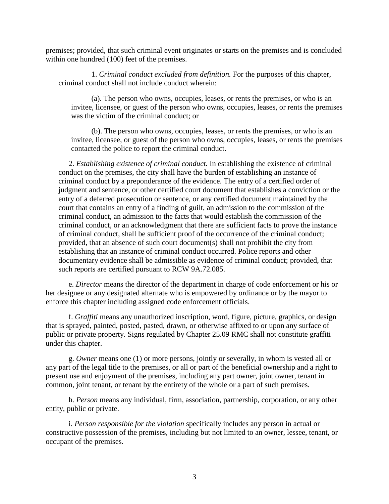premises; provided, that such criminal event originates or starts on the premises and is concluded within one hundred (100) feet of the premises.

1. *Criminal conduct excluded from definition.* For the purposes of this chapter, criminal conduct shall not include conduct wherein:

(a). The person who owns, occupies, leases, or rents the premises, or who is an invitee, licensee, or guest of the person who owns, occupies, leases, or rents the premises was the victim of the criminal conduct; or

(b). The person who owns, occupies, leases, or rents the premises, or who is an invitee, licensee, or guest of the person who owns, occupies, leases, or rents the premises contacted the police to report the criminal conduct.

2. *Establishing existence of criminal conduct.* In establishing the existence of criminal conduct on the premises, the city shall have the burden of establishing an instance of criminal conduct by a preponderance of the evidence. The entry of a certified order of judgment and sentence, or other certified court document that establishes a conviction or the entry of a deferred prosecution or sentence, or any certified document maintained by the court that contains an entry of a finding of guilt, an admission to the commission of the criminal conduct, an admission to the facts that would establish the commission of the criminal conduct, or an acknowledgment that there are sufficient facts to prove the instance of criminal conduct, shall be sufficient proof of the occurrence of the criminal conduct; provided, that an absence of such court document(s) shall not prohibit the city from establishing that an instance of criminal conduct occurred. Police reports and other documentary evidence shall be admissible as evidence of criminal conduct; provided, that such reports are certified pursuant to RCW 9A.72.085.

e. *Director* means the director of the department in charge of code enforcement or his or her designee or any designated alternate who is empowered by ordinance or by the mayor to enforce this chapter including assigned code enforcement officials.

f. *Graffiti* means any unauthorized inscription, word, figure, picture, graphics, or design that is sprayed, painted, posted, pasted, drawn, or otherwise affixed to or upon any surface of public or private property. Signs regulated by Chapter 25.09 RMC shall not constitute graffiti under this chapter.

g. *Owner* means one (1) or more persons, jointly or severally, in whom is vested all or any part of the legal title to the premises, or all or part of the beneficial ownership and a right to present use and enjoyment of the premises, including any part owner, joint owner, tenant in common, joint tenant, or tenant by the entirety of the whole or a part of such premises.

h. *Person* means any individual, firm, association, partnership, corporation, or any other entity, public or private.

i. *Person responsible for the violation* specifically includes any person in actual or constructive possession of the premises, including but not limited to an owner, lessee, tenant, or occupant of the premises.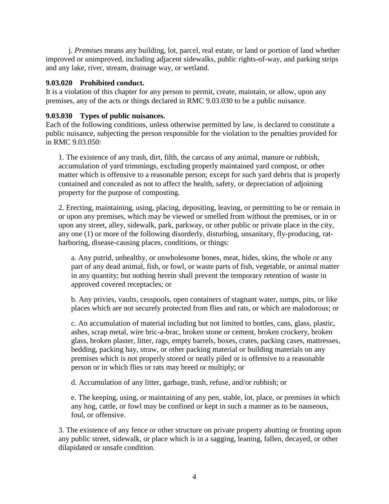j. *Premises* means any building, lot, parcel, real estate, or land or portion of land whether improved or unimproved, including adjacent sidewalks, public rights-of-way, and parking strips and any lake, river, stream, drainage way, or wetland.

## **9.03.020 Prohibited conduct.**

It is a violation of this chapter for any person to permit, create, maintain, or allow, upon any premises, any of the acts or things declared in RMC 9.03.030 to be a public nuisance.

## **9.03.030 Types of public nuisances.**

Each of the following conditions, unless otherwise permitted by law, is declared to constitute a public nuisance, subjecting the person responsible for the violation to the penalties provided for in RMC 9.03.050:

1. The existence of any trash, dirt, filth, the carcass of any animal, manure or rubbish, accumulation of yard trimmings, excluding properly maintained yard compost, or other matter which is offensive to a reasonable person; except for such yard debris that is properly contained and concealed as not to affect the health, safety, or depreciation of adjoining property for the purpose of composting.

2. Erecting, maintaining, using, placing, depositing, leaving, or permitting to be or remain in or upon any premises, which may be viewed or smelled from without the premises, or in or upon any street, alley, sidewalk, park, parkway, or other public or private place in the city, any one (1) or more of the following disorderly, disturbing, unsanitary, fly-producing, ratharboring, disease-causing places, conditions, or things:

a. Any putrid, unhealthy, or unwholesome bones, meat, hides, skins, the whole or any part of any dead animal, fish, or fowl, or waste parts of fish, vegetable, or animal matter in any quantity; but nothing herein shall prevent the temporary retention of waste in approved covered receptacles; or

b. Any privies, vaults, cesspools, open containers of stagnant water, sumps, pits, or like places which are not securely protected from flies and rats, or which are malodorous; or

c. An accumulation of material including but not limited to bottles, cans, glass, plastic, ashes, scrap metal, wire bric-a-brac, broken stone or cement, broken crockery, broken glass, broken plaster, litter, rags, empty barrels, boxes, crates, packing cases, mattresses, bedding, packing hay, straw, or other packing material or building materials on any premises which is not properly stored or neatly piled or is offensive to a reasonable person or in which flies or rats may breed or multiply; or

d. Accumulation of any litter, garbage, trash, refuse, and/or rubbish; or

e. The keeping, using, or maintaining of any pen, stable, lot, place, or premises in which any hog, cattle, or fowl may be confined or kept in such a manner as to be nauseous, foul, or offensive.

3. The existence of any fence or other structure on private property abutting or fronting upon any public street, sidewalk, or place which is in a sagging, leaning, fallen, decayed, or other dilapidated or unsafe condition.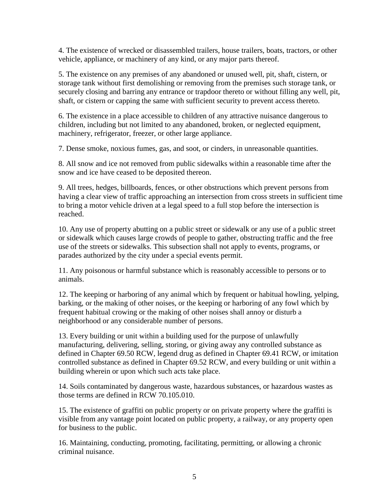4. The existence of wrecked or disassembled trailers, house trailers, boats, tractors, or other vehicle, appliance, or machinery of any kind, or any major parts thereof.

5. The existence on any premises of any abandoned or unused well, pit, shaft, cistern, or storage tank without first demolishing or removing from the premises such storage tank, or securely closing and barring any entrance or trapdoor thereto or without filling any well, pit, shaft, or cistern or capping the same with sufficient security to prevent access thereto.

6. The existence in a place accessible to children of any attractive nuisance dangerous to children, including but not limited to any abandoned, broken, or neglected equipment, machinery, refrigerator, freezer, or other large appliance.

7. Dense smoke, noxious fumes, gas, and soot, or cinders, in unreasonable quantities.

8. All snow and ice not removed from public sidewalks within a reasonable time after the snow and ice have ceased to be deposited thereon.

9. All trees, hedges, billboards, fences, or other obstructions which prevent persons from having a clear view of traffic approaching an intersection from cross streets in sufficient time to bring a motor vehicle driven at a legal speed to a full stop before the intersection is reached.

10. Any use of property abutting on a public street or sidewalk or any use of a public street or sidewalk which causes large crowds of people to gather, obstructing traffic and the free use of the streets or sidewalks. This subsection shall not apply to events, programs, or parades authorized by the city under a special events permit.

11. Any poisonous or harmful substance which is reasonably accessible to persons or to animals.

12. The keeping or harboring of any animal which by frequent or habitual howling, yelping, barking, or the making of other noises, or the keeping or harboring of any fowl which by frequent habitual crowing or the making of other noises shall annoy or disturb a neighborhood or any considerable number of persons.

13. Every building or unit within a building used for the purpose of unlawfully manufacturing, delivering, selling, storing, or giving away any controlled substance as defined in Chapter 69.50 RCW, legend drug as defined in Chapter 69.41 RCW, or imitation controlled substance as defined in Chapter 69.52 RCW, and every building or unit within a building wherein or upon which such acts take place.

14. Soils contaminated by dangerous waste, hazardous substances, or hazardous wastes as those terms are defined in RCW 70.105.010.

15. The existence of graffiti on public property or on private property where the graffiti is visible from any vantage point located on public property, a railway, or any property open for business to the public.

16. Maintaining, conducting, promoting, facilitating, permitting, or allowing a chronic criminal nuisance.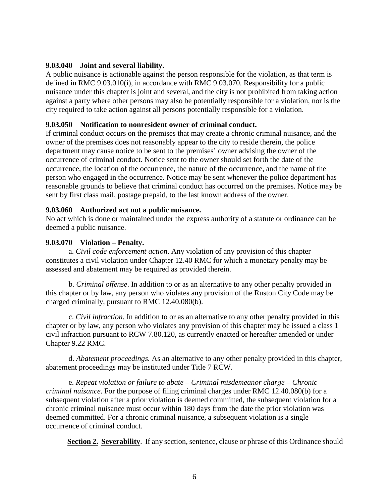## **9.03.040 Joint and several liability.**

A public nuisance is actionable against the person responsible for the violation, as that term is defined in RMC 9.03.010(i), in accordance with RMC 9.03.070. Responsibility for a public nuisance under this chapter is joint and several, and the city is not prohibited from taking action against a party where other persons may also be potentially responsible for a violation, nor is the city required to take action against all persons potentially responsible for a violation.

#### **9.03.050 Notification to nonresident owner of criminal conduct.**

If criminal conduct occurs on the premises that may create a chronic criminal nuisance, and the owner of the premises does not reasonably appear to the city to reside therein, the police department may cause notice to be sent to the premises' owner advising the owner of the occurrence of criminal conduct. Notice sent to the owner should set forth the date of the occurrence, the location of the occurrence, the nature of the occurrence, and the name of the person who engaged in the occurrence. Notice may be sent whenever the police department has reasonable grounds to believe that criminal conduct has occurred on the premises. Notice may be sent by first class mail, postage prepaid, to the last known address of the owner.

### **9.03.060 Authorized act not a public nuisance.**

No act which is done or maintained under the express authority of a statute or ordinance can be deemed a public nuisance.

### **9.03.070 Violation – Penalty.**

a. *Civil code enforcement action*. Any violation of any provision of this chapter constitutes a civil violation under Chapter 12.40 RMC for which a monetary penalty may be assessed and abatement may be required as provided therein.

b. *Criminal offense*. In addition to or as an alternative to any other penalty provided in this chapter or by law, any person who violates any provision of the Ruston City Code may be charged criminally, pursuant to RMC 12.40.080(b).

c. *Civil infraction*. In addition to or as an alternative to any other penalty provided in this chapter or by law, any person who violates any provision of this chapter may be issued a class 1 civil infraction pursuant to RCW 7.80.120, as currently enacted or hereafter amended or under Chapter 9.22 RMC.

d. *Abatement proceedings.* As an alternative to any other penalty provided in this chapter, abatement proceedings may be instituted under Title 7 RCW.

e. *Repeat violation or failure to abate – Criminal misdemeanor charge – Chronic criminal nuisance*. For the purpose of filing criminal charges under RMC 12.40.080(b) for a subsequent violation after a prior violation is deemed committed, the subsequent violation for a chronic criminal nuisance must occur within 180 days from the date the prior violation was deemed committed. For a chronic criminal nuisance, a subsequent violation is a single occurrence of criminal conduct.

**Section 2. Severability**. If any section, sentence, clause or phrase of this Ordinance should